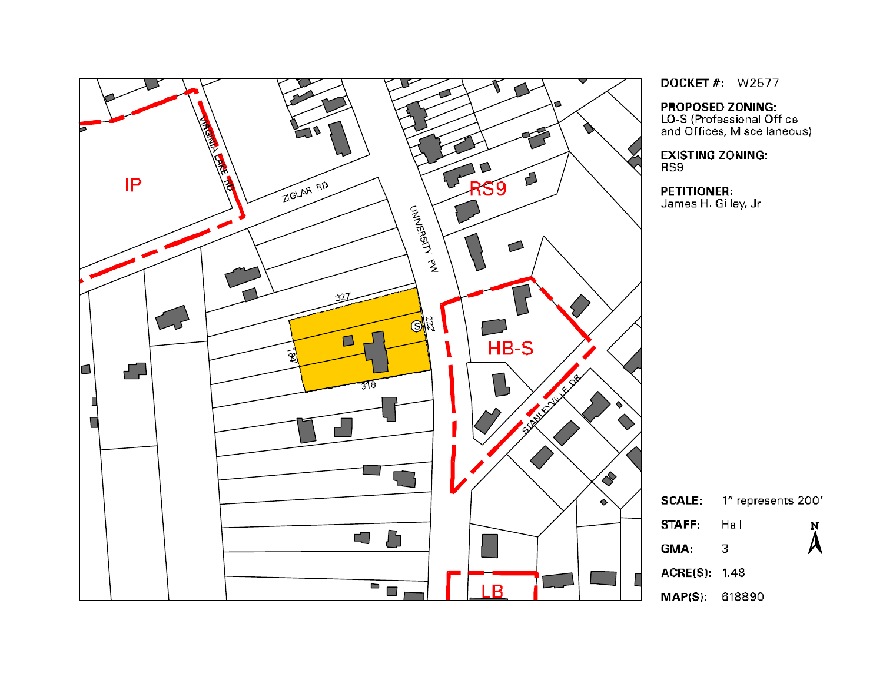

**DOCKET #: W2577** 

**PROPOSED ZONING:** 

LO-S (Professional Office and Offices, Miscellaneous)

**EXISTING ZONING:** 

#### **PETITIONER:** James H. Gilley, Jr.

1" represents 200' **SCALE:** Hall  $\sum_{i=1}^{N}$  $\overline{3}$ ACRE(S): 1.48  $MAP(S): 618890$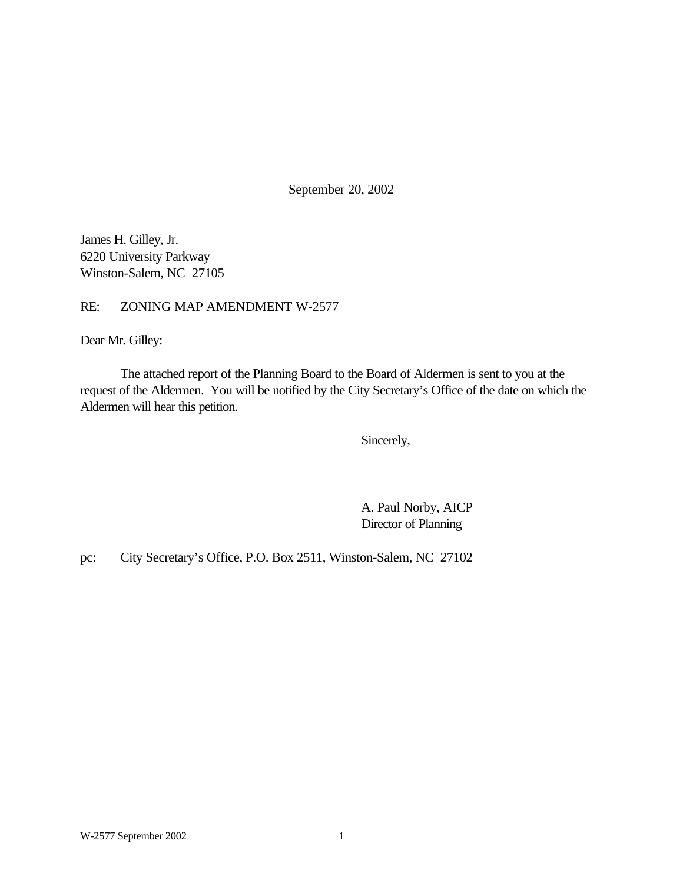September 20, 2002

James H. Gilley, Jr. 6220 University Parkway Winston-Salem, NC 27105

RE: ZONING MAP AMENDMENT W-2577

Dear Mr. Gilley:

The attached report of the Planning Board to the Board of Aldermen is sent to you at the request of the Aldermen. You will be notified by the City Secretary's Office of the date on which the Aldermen will hear this petition.

Sincerely,

A. Paul Norby, AICP Director of Planning

pc: City Secretary's Office, P.O. Box 2511, Winston-Salem, NC 27102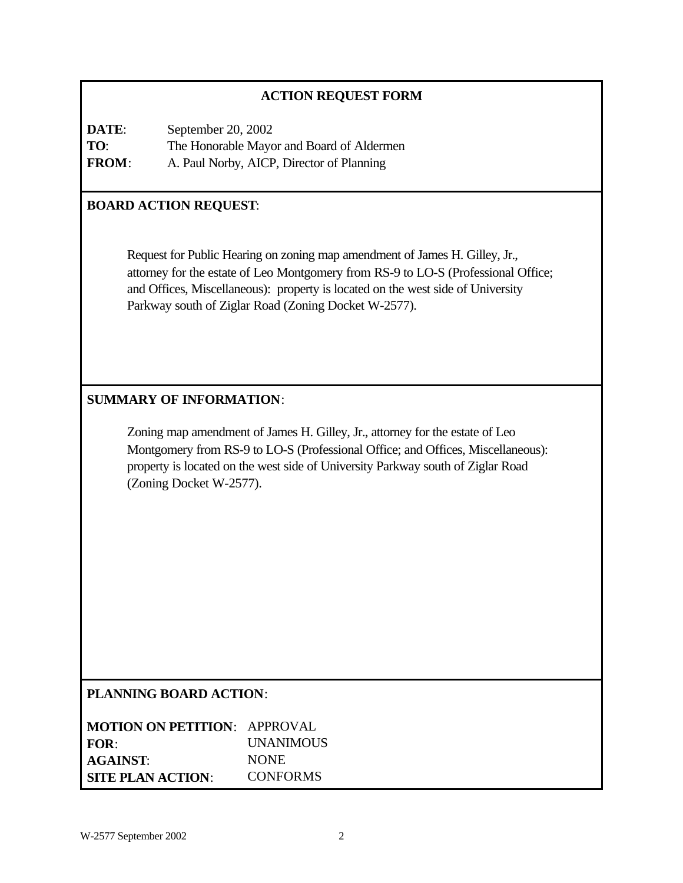# **ACTION REQUEST FORM**

**DATE**: September 20, 2002 **TO**: The Honorable Mayor and Board of Aldermen **FROM**: A. Paul Norby, AICP, Director of Planning

# **BOARD ACTION REQUEST**:

Request for Public Hearing on zoning map amendment of James H. Gilley, Jr., attorney for the estate of Leo Montgomery from RS-9 to LO-S (Professional Office; and Offices, Miscellaneous): property is located on the west side of University Parkway south of Ziglar Road (Zoning Docket W-2577).

# **SUMMARY OF INFORMATION**:

Zoning map amendment of James H. Gilley, Jr., attorney for the estate of Leo Montgomery from RS-9 to LO-S (Professional Office; and Offices, Miscellaneous): property is located on the west side of University Parkway south of Ziglar Road (Zoning Docket W-2577).

#### **PLANNING BOARD ACTION**:

| <b>MOTION ON PETITION: APPROVAL</b> |                  |
|-------------------------------------|------------------|
| FOR:                                | <b>UNANIMOUS</b> |
| <b>AGAINST:</b>                     | <b>NONE</b>      |
| <b>SITE PLAN ACTION:</b>            | <b>CONFORMS</b>  |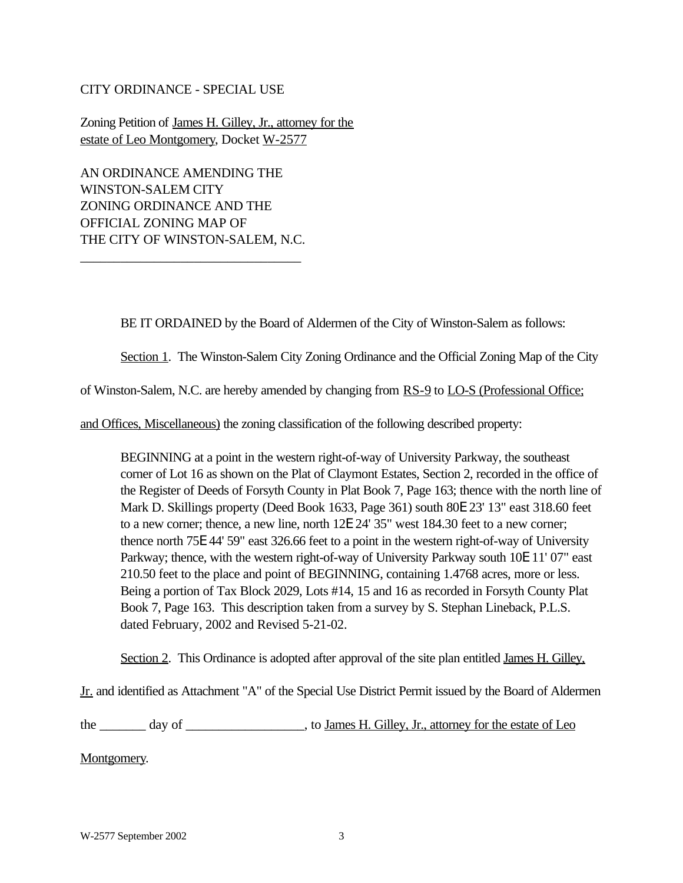#### CITY ORDINANCE - SPECIAL USE

Zoning Petition of James H. Gilley, Jr., attorney for the estate of Leo Montgomery, Docket W-2577

AN ORDINANCE AMENDING THE WINSTON-SALEM CITY ZONING ORDINANCE AND THE OFFICIAL ZONING MAP OF THE CITY OF WINSTON-SALEM, N.C.

\_\_\_\_\_\_\_\_\_\_\_\_\_\_\_\_\_\_\_\_\_\_\_\_\_\_\_\_\_\_\_\_\_

BE IT ORDAINED by the Board of Aldermen of the City of Winston-Salem as follows:

Section 1. The Winston-Salem City Zoning Ordinance and the Official Zoning Map of the City

of Winston-Salem, N.C. are hereby amended by changing from RS-9 to LO-S (Professional Office;

and Offices, Miscellaneous) the zoning classification of the following described property:

BEGINNING at a point in the western right-of-way of University Parkway, the southeast corner of Lot 16 as shown on the Plat of Claymont Estates, Section 2, recorded in the office of the Register of Deeds of Forsyth County in Plat Book 7, Page 163; thence with the north line of Mark D. Skillings property (Deed Book 1633, Page 361) south 80E 23' 13" east 318.60 feet to a new corner; thence, a new line, north 12E 24' 35" west 184.30 feet to a new corner; thence north 75E 44' 59" east 326.66 feet to a point in the western right-of-way of University Parkway; thence, with the western right-of-way of University Parkway south 10E 11' 07" east 210.50 feet to the place and point of BEGINNING, containing 1.4768 acres, more or less. Being a portion of Tax Block 2029, Lots #14, 15 and 16 as recorded in Forsyth County Plat Book 7, Page 163. This description taken from a survey by S. Stephan Lineback, P.L.S. dated February, 2002 and Revised 5-21-02.

Section 2. This Ordinance is adopted after approval of the site plan entitled James H. Gilley,

Jr. and identified as Attachment "A" of the Special Use District Permit issued by the Board of Aldermen

the \_\_\_\_\_\_\_ day of \_\_\_\_\_\_\_\_\_\_\_\_\_\_\_, to James H. Gilley, Jr., attorney for the estate of Leo

Montgomery.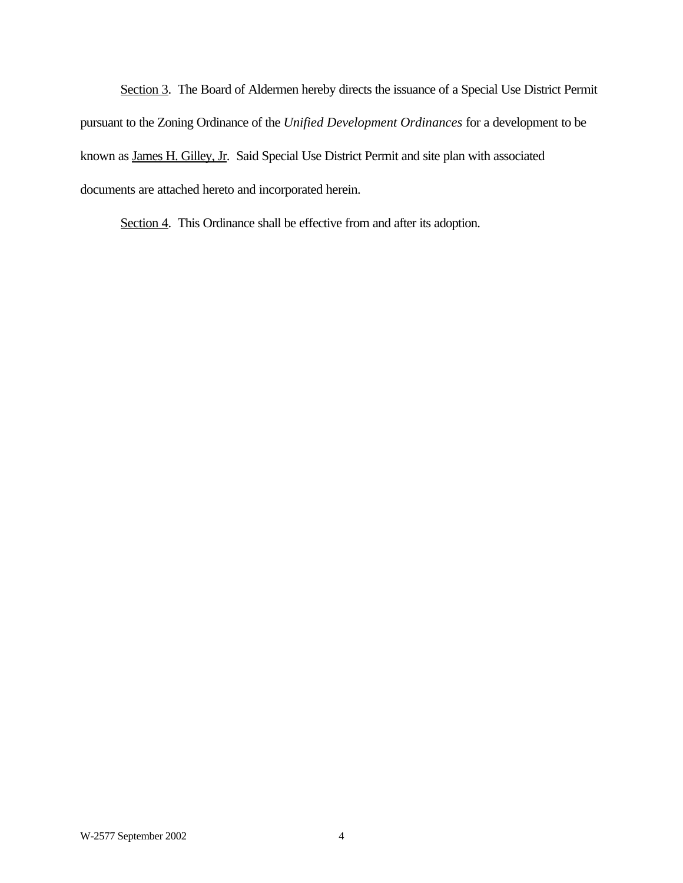Section 3. The Board of Aldermen hereby directs the issuance of a Special Use District Permit pursuant to the Zoning Ordinance of the *Unified Development Ordinances* for a development to be known as James H. Gilley, Jr. Said Special Use District Permit and site plan with associated documents are attached hereto and incorporated herein.

Section 4. This Ordinance shall be effective from and after its adoption.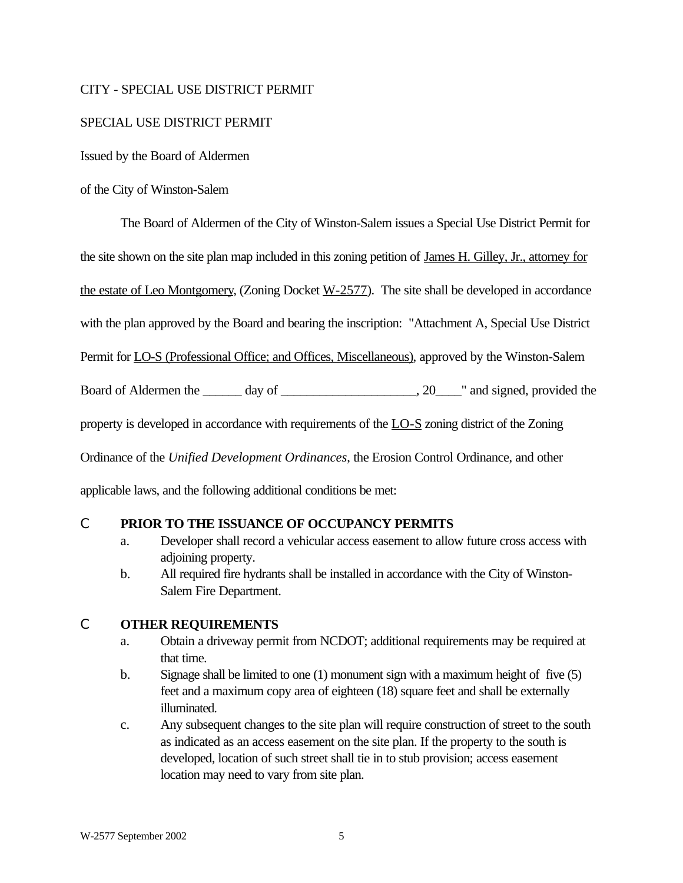### CITY - SPECIAL USE DISTRICT PERMIT

### SPECIAL USE DISTRICT PERMIT

Issued by the Board of Aldermen

#### of the City of Winston-Salem

The Board of Aldermen of the City of Winston-Salem issues a Special Use District Permit for the site shown on the site plan map included in this zoning petition of James H. Gilley, Jr., attorney for the estate of Leo Montgomery, (Zoning Docket  $W-2577$ ). The site shall be developed in accordance with the plan approved by the Board and bearing the inscription: "Attachment A, Special Use District Permit for LO-S (Professional Office; and Offices, Miscellaneous), approved by the Winston-Salem Board of Aldermen the \_\_\_\_\_\_ day of \_\_\_\_\_\_\_\_\_\_\_\_\_\_\_\_\_\_\_, 20\_\_\_\_" and signed, provided the property is developed in accordance with requirements of the LO-S zoning district of the Zoning Ordinance of the *Unified Development Ordinances*, the Erosion Control Ordinance, and other applicable laws, and the following additional conditions be met:

### C **PRIOR TO THE ISSUANCE OF OCCUPANCY PERMITS**

- a. Developer shall record a vehicular access easement to allow future cross access with adjoining property.
- b. All required fire hydrants shall be installed in accordance with the City of Winston-Salem Fire Department.

### C **OTHER REQUIREMENTS**

- a. Obtain a driveway permit from NCDOT; additional requirements may be required at that time.
- b. Signage shall be limited to one (1) monument sign with a maximum height of five (5) feet and a maximum copy area of eighteen (18) square feet and shall be externally illuminated.
- c. Any subsequent changes to the site plan will require construction of street to the south as indicated as an access easement on the site plan. If the property to the south is developed, location of such street shall tie in to stub provision; access easement location may need to vary from site plan.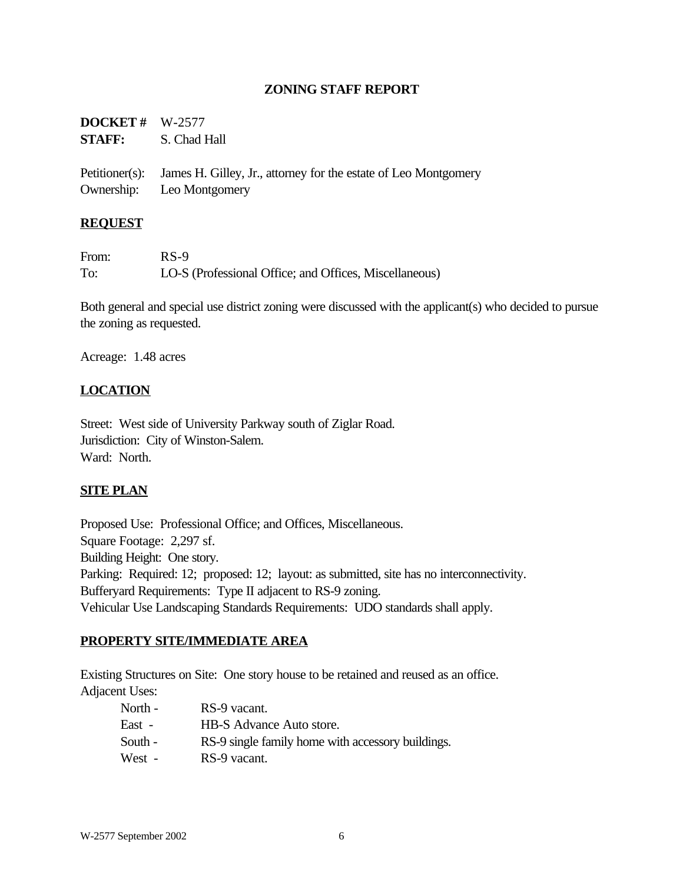### **ZONING STAFF REPORT**

| <b>DOCKET</b> # $W-2577$ | <b>STAFF:</b> S. Chad Hall                                                                                  |
|--------------------------|-------------------------------------------------------------------------------------------------------------|
|                          | Petitioner(s): James H. Gilley, Jr., attorney for the estate of Leo Montgomery<br>Ownership: Leo Montgomery |

#### **REQUEST**

| From: | $RS-9$                                                 |
|-------|--------------------------------------------------------|
| To:   | LO-S (Professional Office; and Offices, Miscellaneous) |

Both general and special use district zoning were discussed with the applicant(s) who decided to pursue the zoning as requested.

Acreage: 1.48 acres

### **LOCATION**

Street: West side of University Parkway south of Ziglar Road. Jurisdiction: City of Winston-Salem. Ward: North.

#### **SITE PLAN**

Proposed Use: Professional Office; and Offices, Miscellaneous. Square Footage: 2,297 sf. Building Height: One story. Parking: Required: 12; proposed: 12; layout: as submitted, site has no interconnectivity. Bufferyard Requirements: Type II adjacent to RS-9 zoning. Vehicular Use Landscaping Standards Requirements: UDO standards shall apply.

#### **PROPERTY SITE/IMMEDIATE AREA**

Existing Structures on Site: One story house to be retained and reused as an office. Adjacent Uses:

| North - | RS-9 vacant.                                      |
|---------|---------------------------------------------------|
| East -  | HB-S Advance Auto store.                          |
| South - | RS-9 single family home with accessory buildings. |
| West -  | RS-9 vacant.                                      |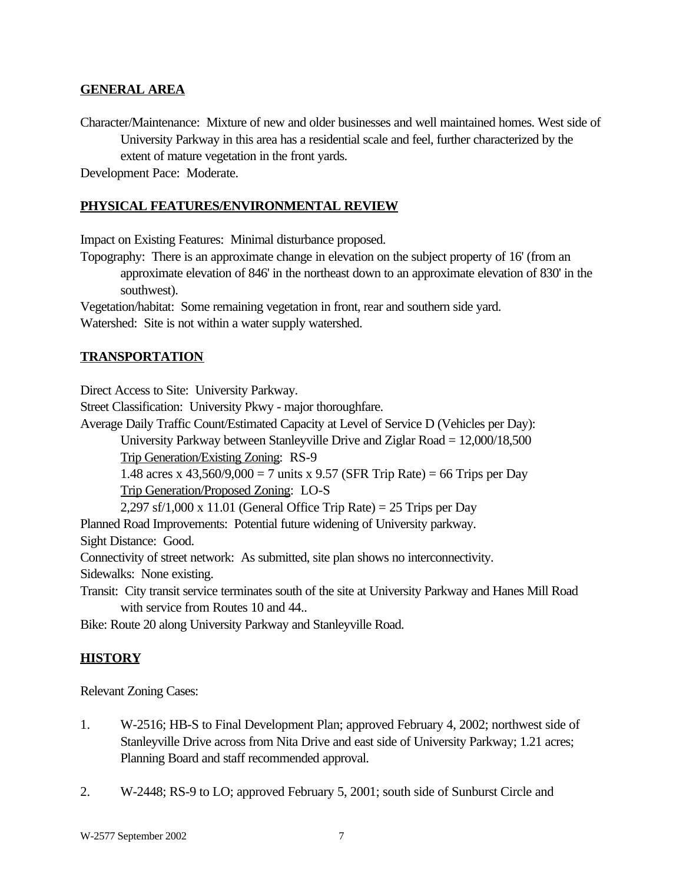### **GENERAL AREA**

Character/Maintenance: Mixture of new and older businesses and well maintained homes. West side of University Parkway in this area has a residential scale and feel, further characterized by the extent of mature vegetation in the front yards.

Development Pace: Moderate.

### **PHYSICAL FEATURES/ENVIRONMENTAL REVIEW**

Impact on Existing Features: Minimal disturbance proposed.

Topography: There is an approximate change in elevation on the subject property of 16' (from an approximate elevation of 846' in the northeast down to an approximate elevation of 830' in the southwest).

Vegetation/habitat: Some remaining vegetation in front, rear and southern side yard. Watershed: Site is not within a water supply watershed.

### **TRANSPORTATION**

Direct Access to Site: University Parkway.

Street Classification: University Pkwy - major thoroughfare.

Average Daily Traffic Count/Estimated Capacity at Level of Service D (Vehicles per Day):

University Parkway between Stanleyville Drive and Ziglar Road = 12,000/18,500 Trip Generation/Existing Zoning: RS-9

1.48 acres x 43,560/9,000 = 7 units x 9.57 (SFR Trip Rate) = 66 Trips per Day Trip Generation/Proposed Zoning: LO-S

 $2,297$  sf/1,000 x 11.01 (General Office Trip Rate) = 25 Trips per Day

Planned Road Improvements: Potential future widening of University parkway.

Sight Distance: Good.

Connectivity of street network: As submitted, site plan shows no interconnectivity.

Sidewalks: None existing.

Transit: City transit service terminates south of the site at University Parkway and Hanes Mill Road with service from Routes 10 and 44..

Bike: Route 20 along University Parkway and Stanleyville Road.

# **HISTORY**

Relevant Zoning Cases:

- 1. W-2516; HB-S to Final Development Plan; approved February 4, 2002; northwest side of Stanleyville Drive across from Nita Drive and east side of University Parkway; 1.21 acres; Planning Board and staff recommended approval.
- 2. W-2448; RS-9 to LO; approved February 5, 2001; south side of Sunburst Circle and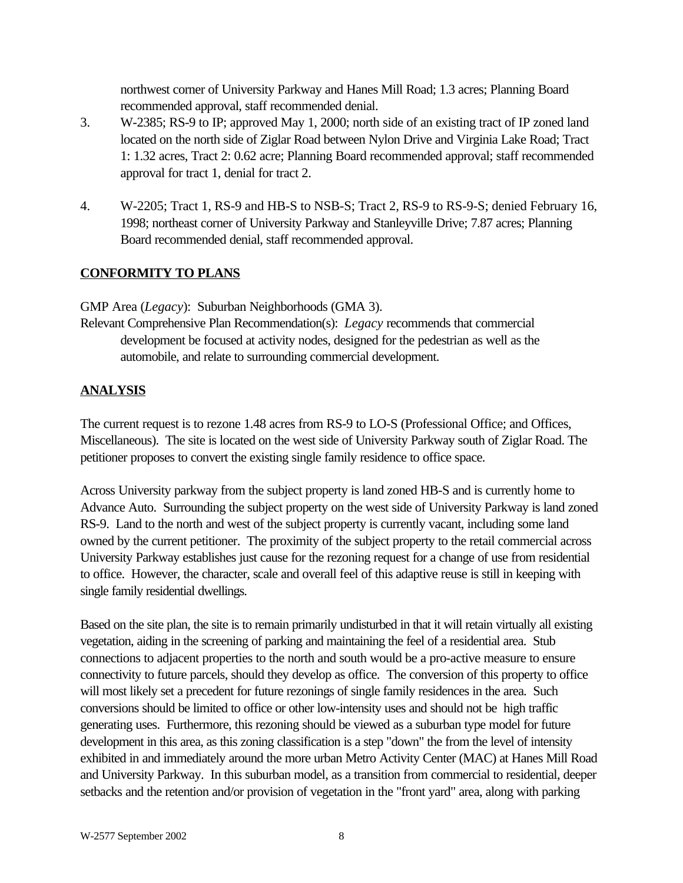northwest corner of University Parkway and Hanes Mill Road; 1.3 acres; Planning Board recommended approval, staff recommended denial.

- 3. W-2385; RS-9 to IP; approved May 1, 2000; north side of an existing tract of IP zoned land located on the north side of Ziglar Road between Nylon Drive and Virginia Lake Road; Tract 1: 1.32 acres, Tract 2: 0.62 acre; Planning Board recommended approval; staff recommended approval for tract 1, denial for tract 2.
- 4. W-2205; Tract 1, RS-9 and HB-S to NSB-S; Tract 2, RS-9 to RS-9-S; denied February 16, 1998; northeast corner of University Parkway and Stanleyville Drive; 7.87 acres; Planning Board recommended denial, staff recommended approval.

# **CONFORMITY TO PLANS**

GMP Area (*Legacy*): Suburban Neighborhoods (GMA 3).

Relevant Comprehensive Plan Recommendation(s): *Legacy* recommends that commercial development be focused at activity nodes, designed for the pedestrian as well as the automobile, and relate to surrounding commercial development.

# **ANALYSIS**

The current request is to rezone 1.48 acres from RS-9 to LO-S (Professional Office; and Offices, Miscellaneous). The site is located on the west side of University Parkway south of Ziglar Road. The petitioner proposes to convert the existing single family residence to office space.

Across University parkway from the subject property is land zoned HB-S and is currently home to Advance Auto. Surrounding the subject property on the west side of University Parkway is land zoned RS-9. Land to the north and west of the subject property is currently vacant, including some land owned by the current petitioner. The proximity of the subject property to the retail commercial across University Parkway establishes just cause for the rezoning request for a change of use from residential to office. However, the character, scale and overall feel of this adaptive reuse is still in keeping with single family residential dwellings.

Based on the site plan, the site is to remain primarily undisturbed in that it will retain virtually all existing vegetation, aiding in the screening of parking and maintaining the feel of a residential area. Stub connections to adjacent properties to the north and south would be a pro-active measure to ensure connectivity to future parcels, should they develop as office. The conversion of this property to office will most likely set a precedent for future rezonings of single family residences in the area. Such conversions should be limited to office or other low-intensity uses and should not be high traffic generating uses. Furthermore, this rezoning should be viewed as a suburban type model for future development in this area, as this zoning classification is a step "down" the from the level of intensity exhibited in and immediately around the more urban Metro Activity Center (MAC) at Hanes Mill Road and University Parkway. In this suburban model, as a transition from commercial to residential, deeper setbacks and the retention and/or provision of vegetation in the "front yard" area, along with parking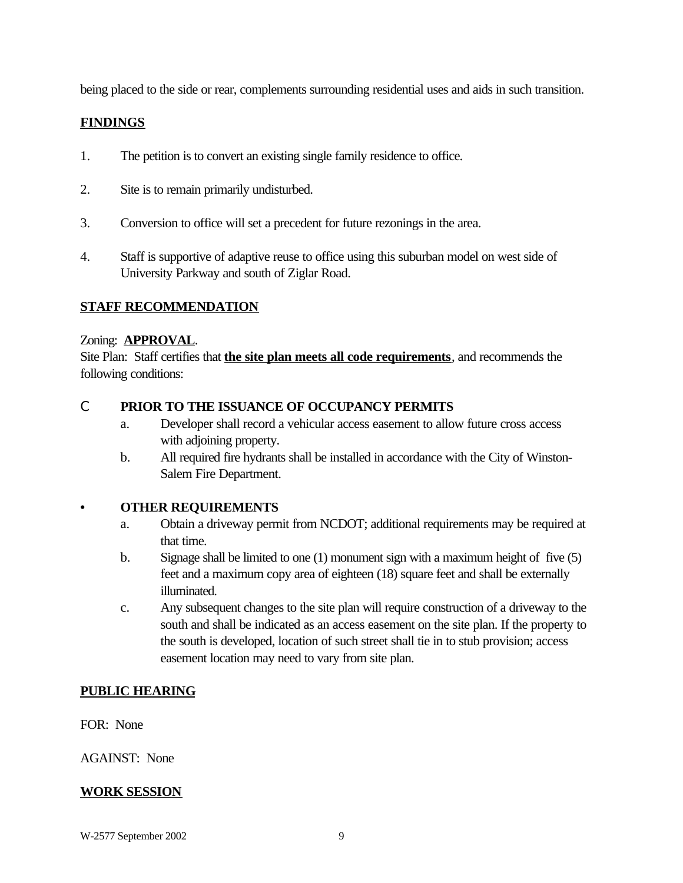being placed to the side or rear, complements surrounding residential uses and aids in such transition.

### **FINDINGS**

- 1. The petition is to convert an existing single family residence to office.
- 2. Site is to remain primarily undisturbed.
- 3. Conversion to office will set a precedent for future rezonings in the area.
- 4. Staff is supportive of adaptive reuse to office using this suburban model on west side of University Parkway and south of Ziglar Road.

### **STAFF RECOMMENDATION**

#### Zoning: **APPROVAL**.

Site Plan: Staff certifies that **the site plan meets all code requirements**, and recommends the following conditions:

### C **PRIOR TO THE ISSUANCE OF OCCUPANCY PERMITS**

- a. Developer shall record a vehicular access easement to allow future cross access with adjoining property.
- b. All required fire hydrants shall be installed in accordance with the City of Winston-Salem Fire Department.

#### **• OTHER REQUIREMENTS**

- a. Obtain a driveway permit from NCDOT; additional requirements may be required at that time.
- b. Signage shall be limited to one (1) monument sign with a maximum height of five (5) feet and a maximum copy area of eighteen (18) square feet and shall be externally illuminated.
- c. Any subsequent changes to the site plan will require construction of a driveway to the south and shall be indicated as an access easement on the site plan. If the property to the south is developed, location of such street shall tie in to stub provision; access easement location may need to vary from site plan.

#### **PUBLIC HEARING**

FOR: None

AGAINST: None

#### **WORK SESSION**

W-2577 September 2002 9